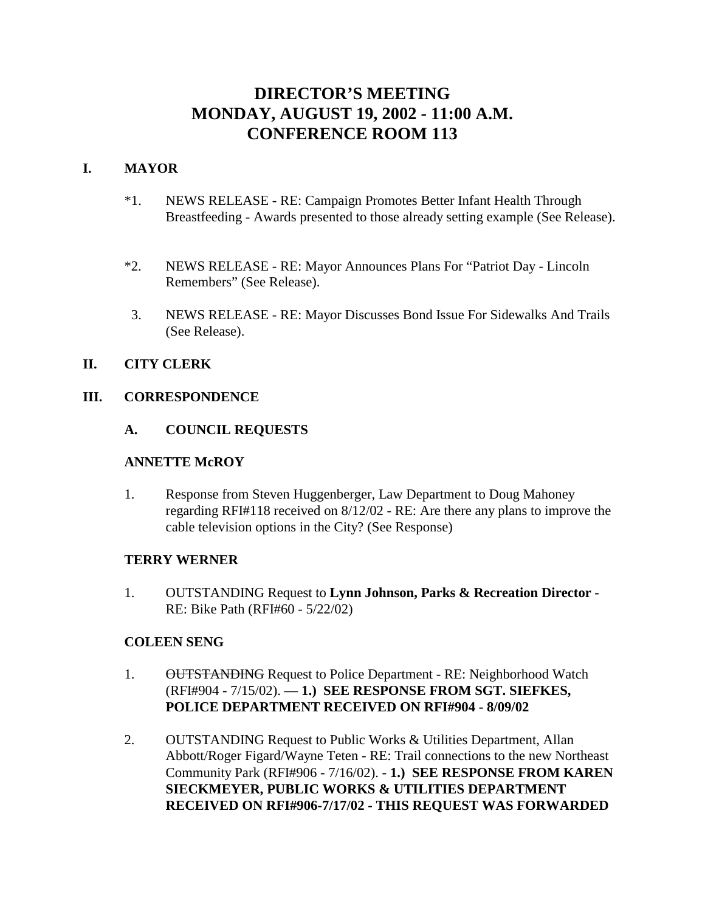# **DIRECTOR'S MEETING MONDAY, AUGUST 19, 2002 - 11:00 A.M. CONFERENCE ROOM 113**

# **I. MAYOR**

- \*1. NEWS RELEASE RE: Campaign Promotes Better Infant Health Through Breastfeeding - Awards presented to those already setting example (See Release).
- \*2. NEWS RELEASE RE: Mayor Announces Plans For "Patriot Day Lincoln Remembers" (See Release).
- 3. NEWS RELEASE RE: Mayor Discusses Bond Issue For Sidewalks And Trails (See Release).

# **II. CITY CLERK**

## **III. CORRESPONDENCE**

## **A. COUNCIL REQUESTS**

## **ANNETTE McROY**

1. Response from Steven Huggenberger, Law Department to Doug Mahoney regarding RFI#118 received on 8/12/02 - RE: Are there any plans to improve the cable television options in the City? (See Response)

# **TERRY WERNER**

1. OUTSTANDING Request to **Lynn Johnson, Parks & Recreation Director** - RE: Bike Path (RFI#60 - 5/22/02)

# **COLEEN SENG**

- 1. OUTSTANDING Request to Police Department RE: Neighborhood Watch (RFI#904 - 7/15/02). — **1.) SEE RESPONSE FROM SGT. SIEFKES, POLICE DEPARTMENT RECEIVED ON RFI#904 - 8/09/02**
- 2. OUTSTANDING Request to Public Works & Utilities Department, Allan Abbott/Roger Figard/Wayne Teten - RE: Trail connections to the new Northeast Community Park (RFI#906 - 7/16/02). - **1.) SEE RESPONSE FROM KAREN SIECKMEYER, PUBLIC WORKS & UTILITIES DEPARTMENT RECEIVED ON RFI#906-7/17/02 - THIS REQUEST WAS FORWARDED**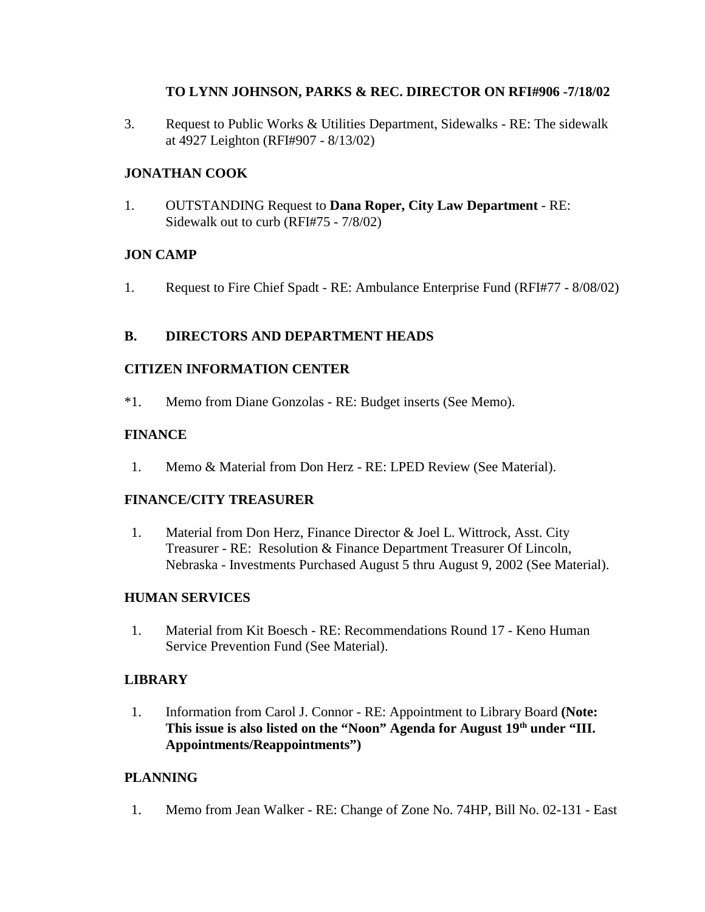# **TO LYNN JOHNSON, PARKS & REC. DIRECTOR ON RFI#906 -7/18/02**

3. Request to Public Works & Utilities Department, Sidewalks - RE: The sidewalk at 4927 Leighton (RFI#907 - 8/13/02)

# **JONATHAN COOK**

1. OUTSTANDING Request to **Dana Roper, City Law Department** - RE: Sidewalk out to curb (RFI#75 - 7/8/02)

# **JON CAMP**

1. Request to Fire Chief Spadt - RE: Ambulance Enterprise Fund (RFI#77 - 8/08/02)

# **B. DIRECTORS AND DEPARTMENT HEADS**

# **CITIZEN INFORMATION CENTER**

\*1. Memo from Diane Gonzolas - RE: Budget inserts (See Memo).

# **FINANCE**

1. Memo & Material from Don Herz - RE: LPED Review (See Material).

# **FINANCE/CITY TREASURER**

 1. Material from Don Herz, Finance Director & Joel L. Wittrock, Asst. City Treasurer - RE: Resolution & Finance Department Treasurer Of Lincoln, Nebraska - Investments Purchased August 5 thru August 9, 2002 (See Material).

# **HUMAN SERVICES**

 1. Material from Kit Boesch - RE: Recommendations Round 17 - Keno Human Service Prevention Fund (See Material).

# **LIBRARY**

 1. Information from Carol J. Connor - RE: Appointment to Library Board **(Note:**  This issue is also listed on the "Noon" Agenda for August 19<sup>th</sup> under "III. **Appointments/Reappointments")** 

# **PLANNING**

1. Memo from Jean Walker - RE: Change of Zone No. 74HP, Bill No. 02-131 - East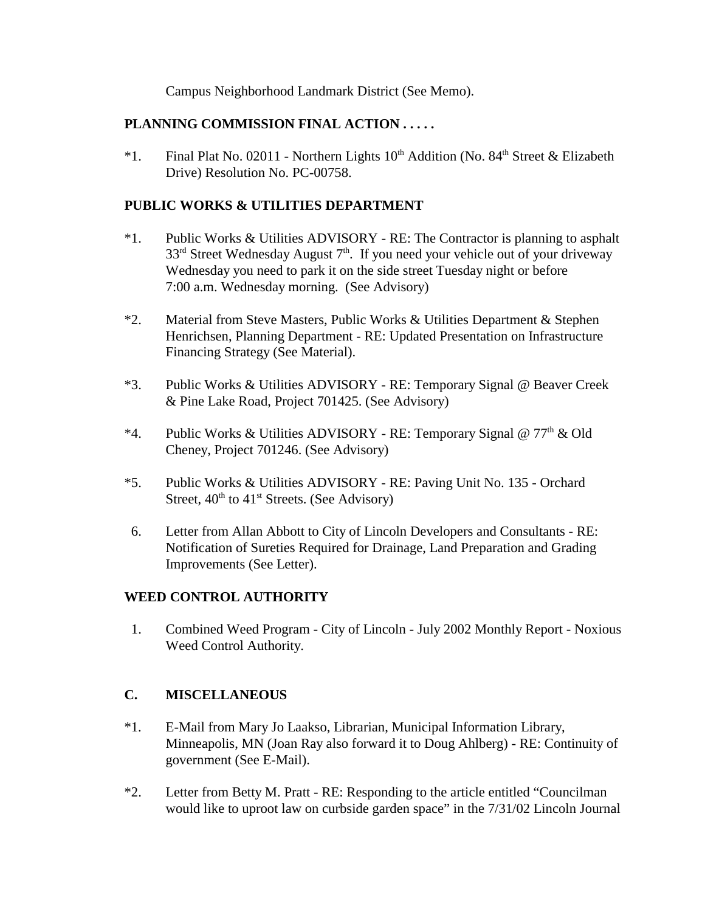Campus Neighborhood Landmark District (See Memo).

# **PLANNING COMMISSION FINAL ACTION . . . . .**

\*1. Final Plat No. 02011 - Northern Lights  $10<sup>th</sup>$  Addition (No. 84<sup>th</sup> Street & Elizabeth Drive) Resolution No. PC-00758.

# **PUBLIC WORKS & UTILITIES DEPARTMENT**

- \*1. Public Works & Utilities ADVISORY RE: The Contractor is planning to asphalt  $33<sup>rd</sup>$  Street Wednesday August  $7<sup>th</sup>$ . If you need your vehicle out of your driveway Wednesday you need to park it on the side street Tuesday night or before 7:00 a.m. Wednesday morning. (See Advisory)
- \*2. Material from Steve Masters, Public Works & Utilities Department & Stephen Henrichsen, Planning Department - RE: Updated Presentation on Infrastructure Financing Strategy (See Material).
- \*3. Public Works & Utilities ADVISORY RE: Temporary Signal @ Beaver Creek & Pine Lake Road, Project 701425. (See Advisory)
- \*4. Public Works & Utilities ADVISORY RE: Temporary Signal @  $77<sup>th</sup>$  & Old Cheney, Project 701246. (See Advisory)
- \*5. Public Works & Utilities ADVISORY RE: Paving Unit No. 135 Orchard Street,  $40^{th}$  to  $41^{st}$  Streets. (See Advisory)
- 6. Letter from Allan Abbott to City of Lincoln Developers and Consultants RE: Notification of Sureties Required for Drainage, Land Preparation and Grading Improvements (See Letter).

# **WEED CONTROL AUTHORITY**

 1. Combined Weed Program - City of Lincoln - July 2002 Monthly Report - Noxious Weed Control Authority.

# **C. MISCELLANEOUS**

- \*1. E-Mail from Mary Jo Laakso, Librarian, Municipal Information Library, Minneapolis, MN (Joan Ray also forward it to Doug Ahlberg) - RE: Continuity of government (See E-Mail).
- \*2. Letter from Betty M. Pratt RE: Responding to the article entitled "Councilman would like to uproot law on curbside garden space" in the 7/31/02 Lincoln Journal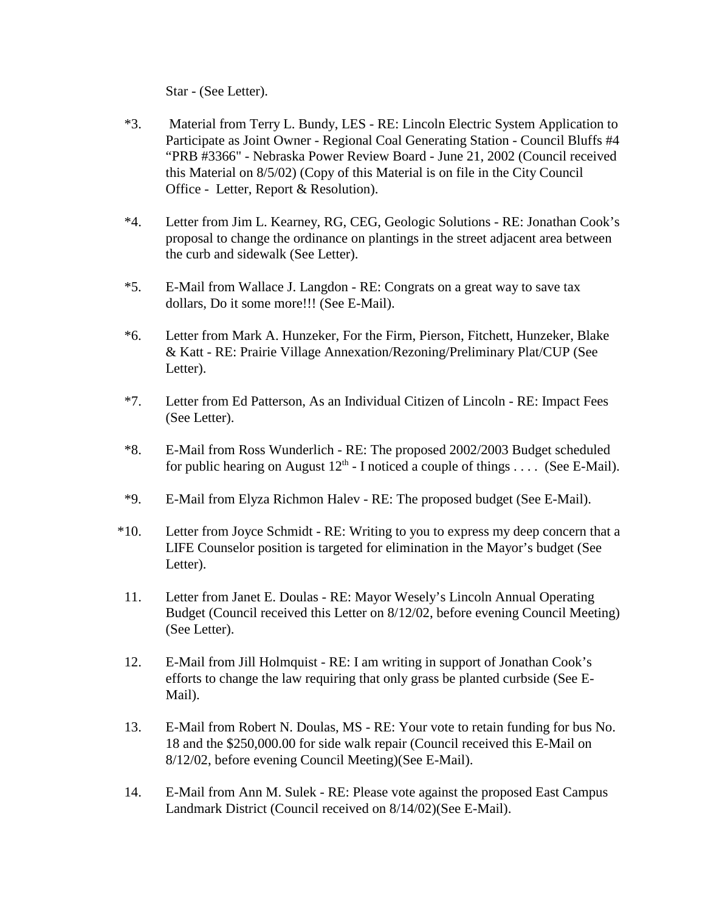Star - (See Letter).

- \*3. Material from Terry L. Bundy, LES RE: Lincoln Electric System Application to Participate as Joint Owner - Regional Coal Generating Station - Council Bluffs #4 "PRB #3366" - Nebraska Power Review Board - June 21, 2002 (Council received this Material on 8/5/02) (Copy of this Material is on file in the City Council Office - Letter, Report & Resolution).
- \*4. Letter from Jim L. Kearney, RG, CEG, Geologic Solutions RE: Jonathan Cook's proposal to change the ordinance on plantings in the street adjacent area between the curb and sidewalk (See Letter).
- \*5. E-Mail from Wallace J. Langdon RE: Congrats on a great way to save tax dollars, Do it some more!!! (See E-Mail).
- \*6. Letter from Mark A. Hunzeker, For the Firm, Pierson, Fitchett, Hunzeker, Blake & Katt - RE: Prairie Village Annexation/Rezoning/Preliminary Plat/CUP (See Letter).
- \*7. Letter from Ed Patterson, As an Individual Citizen of Lincoln RE: Impact Fees (See Letter).
- \*8. E-Mail from Ross Wunderlich RE: The proposed 2002/2003 Budget scheduled for public hearing on August  $12<sup>th</sup>$  - I noticed a couple of things . . . . (See E-Mail).
- \*9. E-Mail from Elyza Richmon Halev RE: The proposed budget (See E-Mail).
- \*10. Letter from Joyce Schmidt RE: Writing to you to express my deep concern that a LIFE Counselor position is targeted for elimination in the Mayor's budget (See Letter).
- 11. Letter from Janet E. Doulas RE: Mayor Wesely's Lincoln Annual Operating Budget (Council received this Letter on 8/12/02, before evening Council Meeting) (See Letter).
- 12. E-Mail from Jill Holmquist RE: I am writing in support of Jonathan Cook's efforts to change the law requiring that only grass be planted curbside (See E-Mail).
- 13. E-Mail from Robert N. Doulas, MS RE: Your vote to retain funding for bus No. 18 and the \$250,000.00 for side walk repair (Council received this E-Mail on 8/12/02, before evening Council Meeting)(See E-Mail).
- 14. E-Mail from Ann M. Sulek RE: Please vote against the proposed East Campus Landmark District (Council received on 8/14/02)(See E-Mail).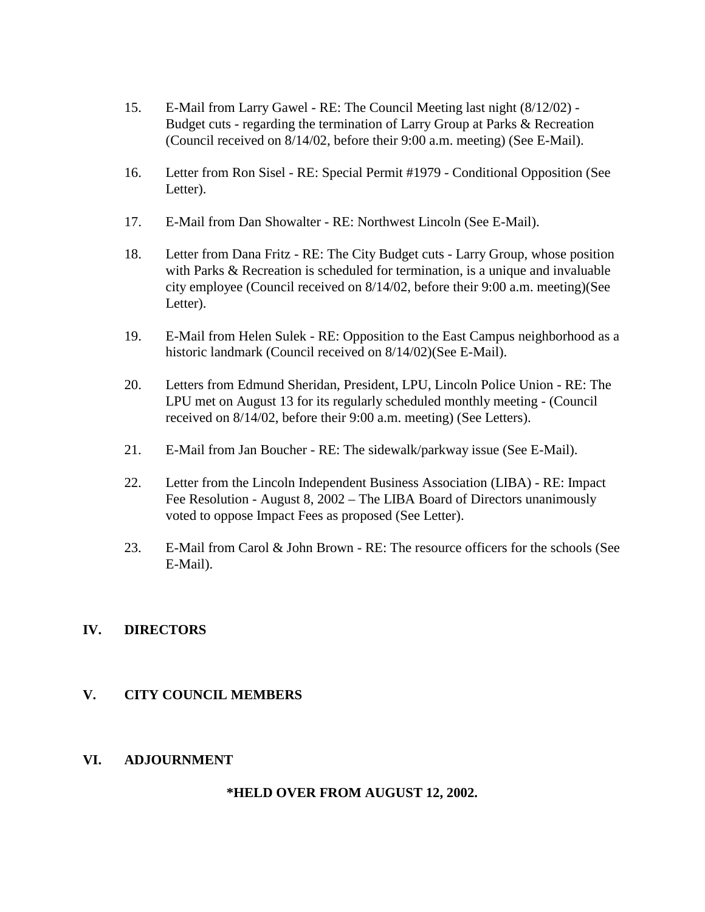- 15. E-Mail from Larry Gawel RE: The Council Meeting last night (8/12/02) Budget cuts - regarding the termination of Larry Group at Parks & Recreation (Council received on 8/14/02, before their 9:00 a.m. meeting) (See E-Mail).
- 16. Letter from Ron Sisel RE: Special Permit #1979 Conditional Opposition (See Letter).
- 17. E-Mail from Dan Showalter RE: Northwest Lincoln (See E-Mail).
- 18. Letter from Dana Fritz RE: The City Budget cuts Larry Group, whose position with Parks & Recreation is scheduled for termination, is a unique and invaluable city employee (Council received on 8/14/02, before their 9:00 a.m. meeting)(See Letter).
- 19. E-Mail from Helen Sulek RE: Opposition to the East Campus neighborhood as a historic landmark (Council received on 8/14/02)(See E-Mail).
- 20. Letters from Edmund Sheridan, President, LPU, Lincoln Police Union RE: The LPU met on August 13 for its regularly scheduled monthly meeting - (Council received on 8/14/02, before their 9:00 a.m. meeting) (See Letters).
- 21. E-Mail from Jan Boucher RE: The sidewalk/parkway issue (See E-Mail).
- 22. Letter from the Lincoln Independent Business Association (LIBA) RE: Impact Fee Resolution - August 8, 2002 – The LIBA Board of Directors unanimously voted to oppose Impact Fees as proposed (See Letter).
- 23. E-Mail from Carol & John Brown RE: The resource officers for the schools (See E-Mail).

# **IV. DIRECTORS**

# **V. CITY COUNCIL MEMBERS**

# **VI. ADJOURNMENT**

# **\*HELD OVER FROM AUGUST 12, 2002.**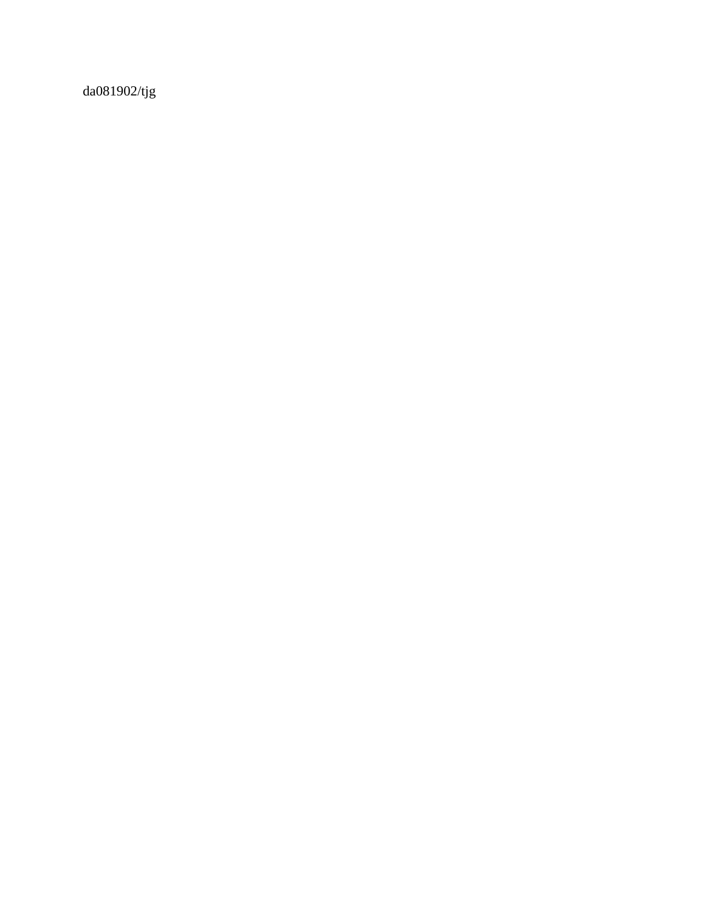da081902/tjg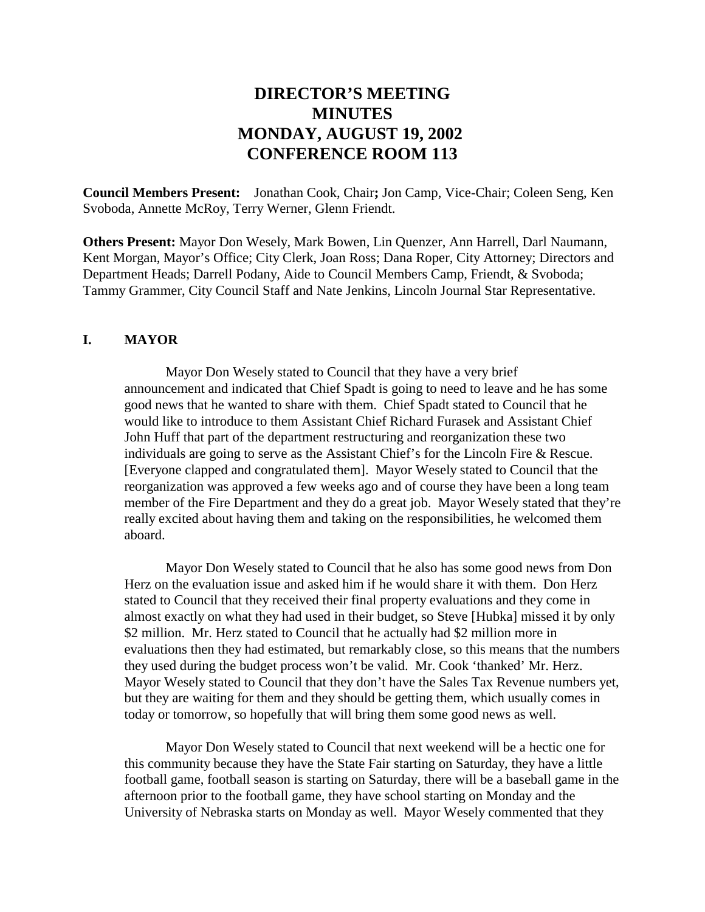# **DIRECTOR'S MEETING MINUTES MONDAY, AUGUST 19, 2002 CONFERENCE ROOM 113**

**Council Members Present:** Jonathan Cook, Chair**;** Jon Camp, Vice-Chair; Coleen Seng, Ken Svoboda, Annette McRoy, Terry Werner, Glenn Friendt.

**Others Present:** Mayor Don Wesely, Mark Bowen, Lin Quenzer, Ann Harrell, Darl Naumann, Kent Morgan, Mayor's Office; City Clerk, Joan Ross; Dana Roper, City Attorney; Directors and Department Heads; Darrell Podany, Aide to Council Members Camp, Friendt, & Svoboda; Tammy Grammer, City Council Staff and Nate Jenkins, Lincoln Journal Star Representative.

#### **I. MAYOR**

Mayor Don Wesely stated to Council that they have a very brief announcement and indicated that Chief Spadt is going to need to leave and he has some good news that he wanted to share with them. Chief Spadt stated to Council that he would like to introduce to them Assistant Chief Richard Furasek and Assistant Chief John Huff that part of the department restructuring and reorganization these two individuals are going to serve as the Assistant Chief's for the Lincoln Fire & Rescue. [Everyone clapped and congratulated them]. Mayor Wesely stated to Council that the reorganization was approved a few weeks ago and of course they have been a long team member of the Fire Department and they do a great job. Mayor Wesely stated that they're really excited about having them and taking on the responsibilities, he welcomed them aboard.

Mayor Don Wesely stated to Council that he also has some good news from Don Herz on the evaluation issue and asked him if he would share it with them. Don Herz stated to Council that they received their final property evaluations and they come in almost exactly on what they had used in their budget, so Steve [Hubka] missed it by only \$2 million. Mr. Herz stated to Council that he actually had \$2 million more in evaluations then they had estimated, but remarkably close, so this means that the numbers they used during the budget process won't be valid. Mr. Cook 'thanked' Mr. Herz. Mayor Wesely stated to Council that they don't have the Sales Tax Revenue numbers yet, but they are waiting for them and they should be getting them, which usually comes in today or tomorrow, so hopefully that will bring them some good news as well.

Mayor Don Wesely stated to Council that next weekend will be a hectic one for this community because they have the State Fair starting on Saturday, they have a little football game, football season is starting on Saturday, there will be a baseball game in the afternoon prior to the football game, they have school starting on Monday and the University of Nebraska starts on Monday as well. Mayor Wesely commented that they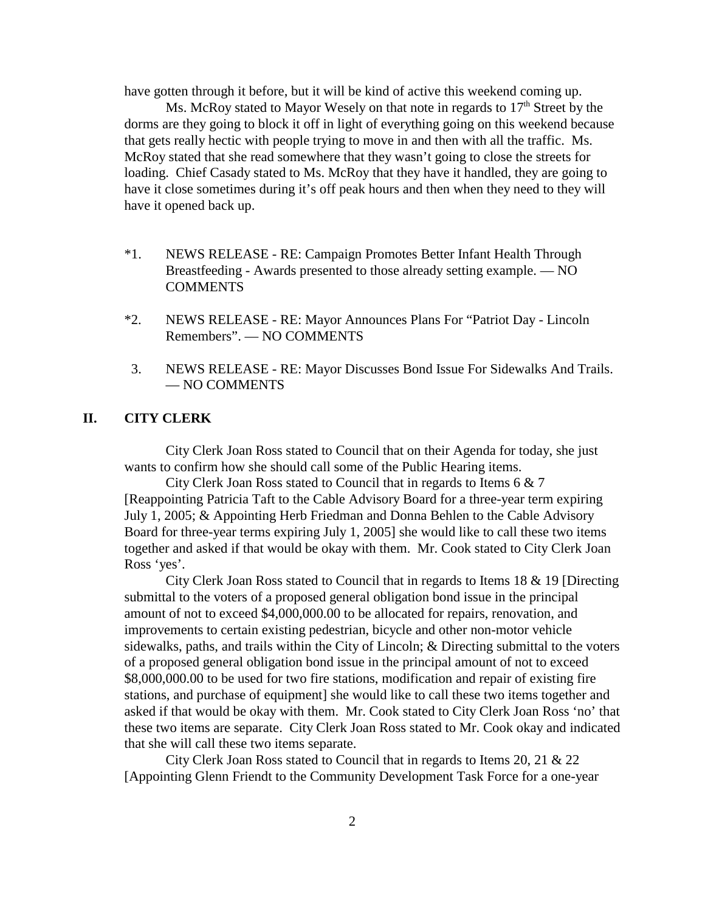have gotten through it before, but it will be kind of active this weekend coming up.

Ms. McRoy stated to Mayor Wesely on that note in regards to  $17<sup>th</sup>$  Street by the dorms are they going to block it off in light of everything going on this weekend because that gets really hectic with people trying to move in and then with all the traffic. Ms. McRoy stated that she read somewhere that they wasn't going to close the streets for loading. Chief Casady stated to Ms. McRoy that they have it handled, they are going to have it close sometimes during it's off peak hours and then when they need to they will have it opened back up.

- \*1. NEWS RELEASE RE: Campaign Promotes Better Infant Health Through Breastfeeding - Awards presented to those already setting example. — NO COMMENTS
- \*2. NEWS RELEASE RE: Mayor Announces Plans For "Patriot Day Lincoln Remembers". — NO COMMENTS
- 3. NEWS RELEASE RE: Mayor Discusses Bond Issue For Sidewalks And Trails. — NO COMMENTS

## **II. CITY CLERK**

City Clerk Joan Ross stated to Council that on their Agenda for today, she just wants to confirm how she should call some of the Public Hearing items.

City Clerk Joan Ross stated to Council that in regards to Items 6 & 7 [Reappointing Patricia Taft to the Cable Advisory Board for a three-year term expiring July 1, 2005; & Appointing Herb Friedman and Donna Behlen to the Cable Advisory Board for three-year terms expiring July 1, 2005] she would like to call these two items together and asked if that would be okay with them. Mr. Cook stated to City Clerk Joan Ross 'yes'.

City Clerk Joan Ross stated to Council that in regards to Items 18 & 19 [Directing submittal to the voters of a proposed general obligation bond issue in the principal amount of not to exceed \$4,000,000.00 to be allocated for repairs, renovation, and improvements to certain existing pedestrian, bicycle and other non-motor vehicle sidewalks, paths, and trails within the City of Lincoln; & Directing submittal to the voters of a proposed general obligation bond issue in the principal amount of not to exceed \$8,000,000.00 to be used for two fire stations, modification and repair of existing fire stations, and purchase of equipment] she would like to call these two items together and asked if that would be okay with them. Mr. Cook stated to City Clerk Joan Ross 'no' that these two items are separate. City Clerk Joan Ross stated to Mr. Cook okay and indicated that she will call these two items separate.

City Clerk Joan Ross stated to Council that in regards to Items 20, 21 & 22 [Appointing Glenn Friendt to the Community Development Task Force for a one-year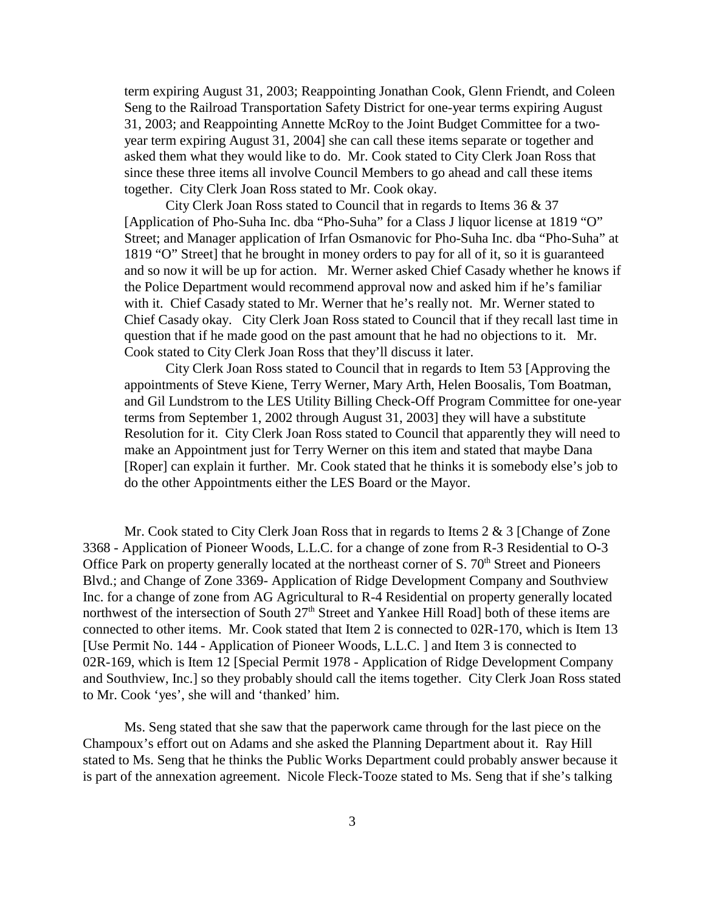term expiring August 31, 2003; Reappointing Jonathan Cook, Glenn Friendt, and Coleen Seng to the Railroad Transportation Safety District for one-year terms expiring August 31, 2003; and Reappointing Annette McRoy to the Joint Budget Committee for a twoyear term expiring August 31, 2004] she can call these items separate or together and asked them what they would like to do. Mr. Cook stated to City Clerk Joan Ross that since these three items all involve Council Members to go ahead and call these items together. City Clerk Joan Ross stated to Mr. Cook okay.

City Clerk Joan Ross stated to Council that in regards to Items 36 & 37 [Application of Pho-Suha Inc. dba "Pho-Suha" for a Class J liquor license at 1819 "O" Street; and Manager application of Irfan Osmanovic for Pho-Suha Inc. dba "Pho-Suha" at 1819 "O" Street] that he brought in money orders to pay for all of it, so it is guaranteed and so now it will be up for action. Mr. Werner asked Chief Casady whether he knows if the Police Department would recommend approval now and asked him if he's familiar with it. Chief Casady stated to Mr. Werner that he's really not. Mr. Werner stated to Chief Casady okay. City Clerk Joan Ross stated to Council that if they recall last time in question that if he made good on the past amount that he had no objections to it. Mr. Cook stated to City Clerk Joan Ross that they'll discuss it later.

City Clerk Joan Ross stated to Council that in regards to Item 53 [Approving the appointments of Steve Kiene, Terry Werner, Mary Arth, Helen Boosalis, Tom Boatman, and Gil Lundstrom to the LES Utility Billing Check-Off Program Committee for one-year terms from September 1, 2002 through August 31, 2003] they will have a substitute Resolution for it. City Clerk Joan Ross stated to Council that apparently they will need to make an Appointment just for Terry Werner on this item and stated that maybe Dana [Roper] can explain it further. Mr. Cook stated that he thinks it is somebody else's job to do the other Appointments either the LES Board or the Mayor.

Mr. Cook stated to City Clerk Joan Ross that in regards to Items 2 & 3 [Change of Zone 3368 - Application of Pioneer Woods, L.L.C. for a change of zone from R-3 Residential to O-3 Office Park on property generally located at the northeast corner of S. 70<sup>th</sup> Street and Pioneers Blvd.; and Change of Zone 3369- Application of Ridge Development Company and Southview Inc. for a change of zone from AG Agricultural to R-4 Residential on property generally located northwest of the intersection of South 27<sup>th</sup> Street and Yankee Hill Road] both of these items are connected to other items. Mr. Cook stated that Item 2 is connected to 02R-170, which is Item 13 [Use Permit No. 144 - Application of Pioneer Woods, L.L.C. ] and Item 3 is connected to 02R-169, which is Item 12 [Special Permit 1978 - Application of Ridge Development Company and Southview, Inc.] so they probably should call the items together. City Clerk Joan Ross stated to Mr. Cook 'yes', she will and 'thanked' him.

Ms. Seng stated that she saw that the paperwork came through for the last piece on the Champoux's effort out on Adams and she asked the Planning Department about it. Ray Hill stated to Ms. Seng that he thinks the Public Works Department could probably answer because it is part of the annexation agreement. Nicole Fleck-Tooze stated to Ms. Seng that if she's talking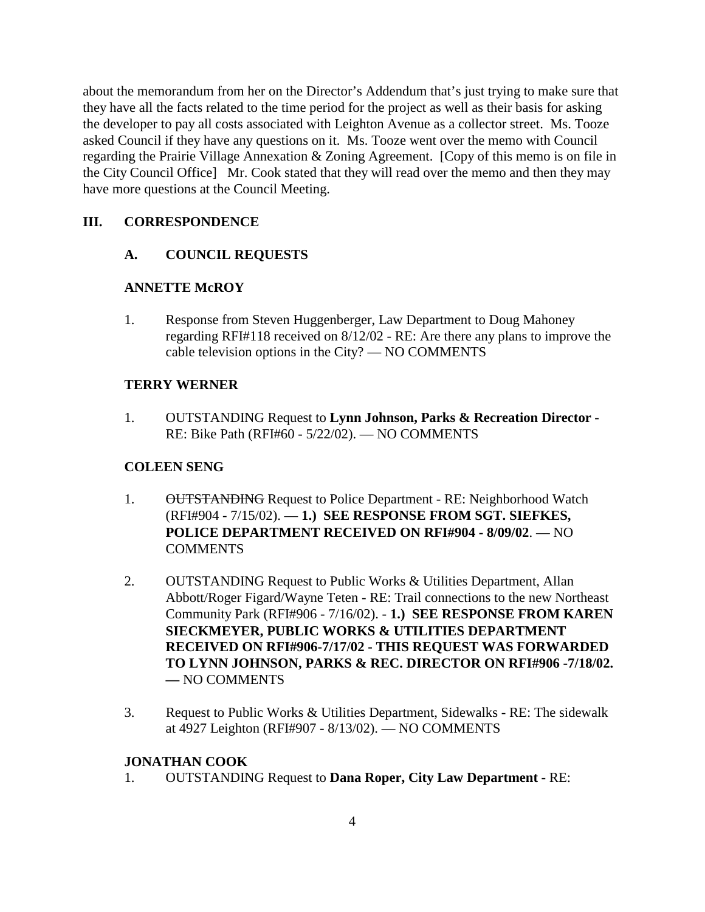about the memorandum from her on the Director's Addendum that's just trying to make sure that they have all the facts related to the time period for the project as well as their basis for asking the developer to pay all costs associated with Leighton Avenue as a collector street. Ms. Tooze asked Council if they have any questions on it. Ms. Tooze went over the memo with Council regarding the Prairie Village Annexation & Zoning Agreement. [Copy of this memo is on file in the City Council Office] Mr. Cook stated that they will read over the memo and then they may have more questions at the Council Meeting.

## **III. CORRESPONDENCE**

## **A. COUNCIL REQUESTS**

## **ANNETTE McROY**

1. Response from Steven Huggenberger, Law Department to Doug Mahoney regarding RFI#118 received on 8/12/02 - RE: Are there any plans to improve the cable television options in the City? — NO COMMENTS

## **TERRY WERNER**

1. OUTSTANDING Request to **Lynn Johnson, Parks & Recreation Director** - RE: Bike Path (RFI#60 - 5/22/02). — NO COMMENTS

## **COLEEN SENG**

- 1. OUTSTANDING Request to Police Department RE: Neighborhood Watch (RFI#904 - 7/15/02). — **1.) SEE RESPONSE FROM SGT. SIEFKES, POLICE DEPARTMENT RECEIVED ON RFI#904 - 8/09/02**. — NO COMMENTS
- 2. OUTSTANDING Request to Public Works & Utilities Department, Allan Abbott/Roger Figard/Wayne Teten - RE: Trail connections to the new Northeast Community Park (RFI#906 - 7/16/02). - **1.) SEE RESPONSE FROM KAREN SIECKMEYER, PUBLIC WORKS & UTILITIES DEPARTMENT RECEIVED ON RFI#906-7/17/02 - THIS REQUEST WAS FORWARDED TO LYNN JOHNSON, PARKS & REC. DIRECTOR ON RFI#906 -7/18/02. —** NO COMMENTS
- 3. Request to Public Works & Utilities Department, Sidewalks RE: The sidewalk at 4927 Leighton (RFI#907 - 8/13/02). — NO COMMENTS

## **JONATHAN COOK**

1. OUTSTANDING Request to **Dana Roper, City Law Department** - RE: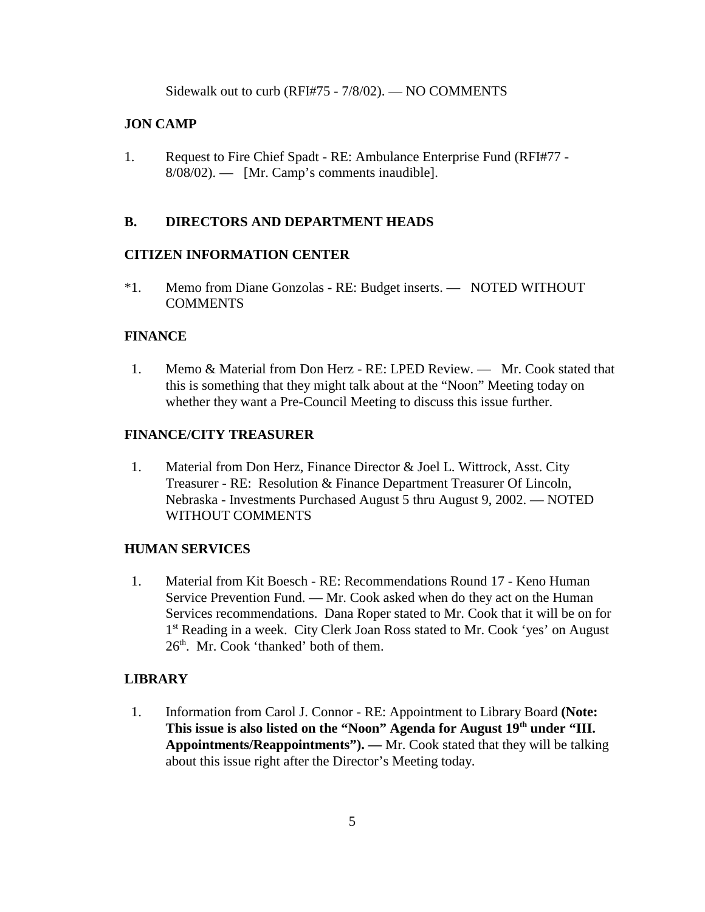Sidewalk out to curb (RFI#75 - 7/8/02). — NO COMMENTS

#### **JON CAMP**

1. Request to Fire Chief Spadt - RE: Ambulance Enterprise Fund (RFI#77 - 8/08/02). — [Mr. Camp's comments inaudible].

#### **B. DIRECTORS AND DEPARTMENT HEADS**

#### **CITIZEN INFORMATION CENTER**

\*1. Memo from Diane Gonzolas - RE: Budget inserts. — NOTED WITHOUT **COMMENTS** 

#### **FINANCE**

1. Memo & Material from Don Herz - RE: LPED Review. — Mr. Cook stated that this is something that they might talk about at the "Noon" Meeting today on whether they want a Pre-Council Meeting to discuss this issue further.

#### **FINANCE/CITY TREASURER**

 1. Material from Don Herz, Finance Director & Joel L. Wittrock, Asst. City Treasurer - RE: Resolution & Finance Department Treasurer Of Lincoln, Nebraska - Investments Purchased August 5 thru August 9, 2002. — NOTED WITHOUT COMMENTS

#### **HUMAN SERVICES**

 1. Material from Kit Boesch - RE: Recommendations Round 17 - Keno Human Service Prevention Fund. — Mr. Cook asked when do they act on the Human Services recommendations. Dana Roper stated to Mr. Cook that it will be on for 1<sup>st</sup> Reading in a week. City Clerk Joan Ross stated to Mr. Cook 'yes' on August  $26<sup>th</sup>$ . Mr. Cook 'thanked' both of them.

#### **LIBRARY**

 1. Information from Carol J. Connor - RE: Appointment to Library Board **(Note:**  This issue is also listed on the "Noon" Agenda for August 19<sup>th</sup> under "III. **Appointments/Reappointments"). —** Mr. Cook stated that they will be talking about this issue right after the Director's Meeting today.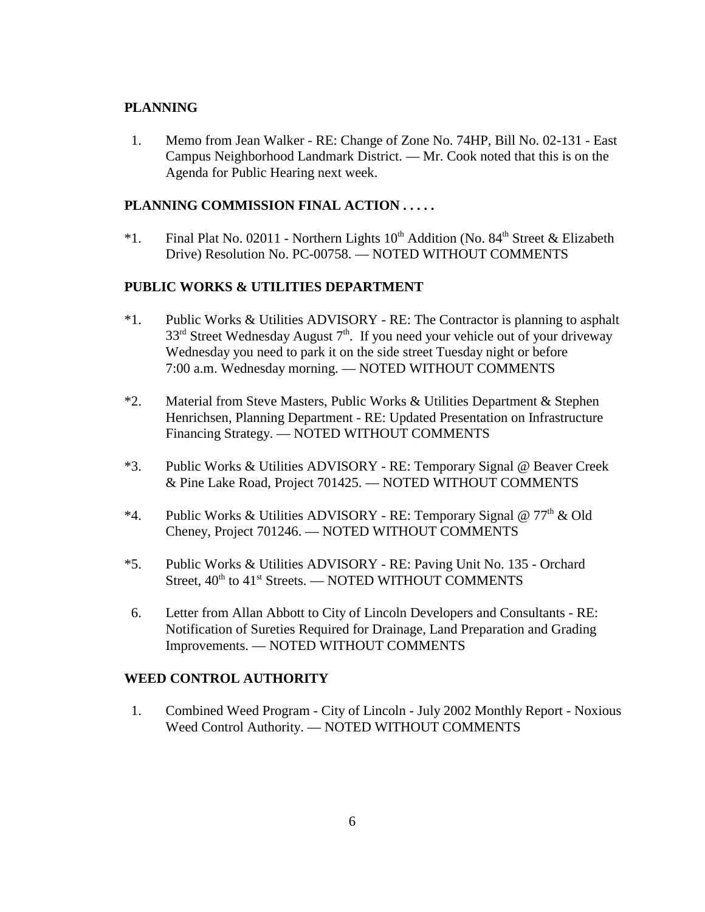## **PLANNING**

 1. Memo from Jean Walker - RE: Change of Zone No. 74HP, Bill No. 02-131 - East Campus Neighborhood Landmark District. — Mr. Cook noted that this is on the Agenda for Public Hearing next week.

#### **PLANNING COMMISSION FINAL ACTION . . . . .**

\*1. Final Plat No. 02011 - Northern Lights  $10<sup>th</sup>$  Addition (No. 84<sup>th</sup> Street & Elizabeth Drive) Resolution No. PC-00758. — NOTED WITHOUT COMMENTS

## **PUBLIC WORKS & UTILITIES DEPARTMENT**

- \*1. Public Works & Utilities ADVISORY RE: The Contractor is planning to asphalt  $33<sup>rd</sup>$  Street Wednesday August  $7<sup>th</sup>$ . If you need your vehicle out of your driveway Wednesday you need to park it on the side street Tuesday night or before 7:00 a.m. Wednesday morning. — NOTED WITHOUT COMMENTS
- \*2. Material from Steve Masters, Public Works & Utilities Department & Stephen Henrichsen, Planning Department - RE: Updated Presentation on Infrastructure Financing Strategy. — NOTED WITHOUT COMMENTS
- \*3. Public Works & Utilities ADVISORY RE: Temporary Signal @ Beaver Creek & Pine Lake Road, Project 701425. — NOTED WITHOUT COMMENTS
- \*4. Public Works & Utilities ADVISORY RE: Temporary Signal  $@ 77<sup>th</sup>$  & Old Cheney, Project 701246. — NOTED WITHOUT COMMENTS
- \*5. Public Works & Utilities ADVISORY RE: Paving Unit No. 135 Orchard Street,  $40<sup>th</sup>$  to  $41<sup>st</sup>$  Streets. — NOTED WITHOUT COMMENTS
- 6. Letter from Allan Abbott to City of Lincoln Developers and Consultants RE: Notification of Sureties Required for Drainage, Land Preparation and Grading Improvements. — NOTED WITHOUT COMMENTS

#### **WEED CONTROL AUTHORITY**

 1. Combined Weed Program - City of Lincoln - July 2002 Monthly Report - Noxious Weed Control Authority. — NOTED WITHOUT COMMENTS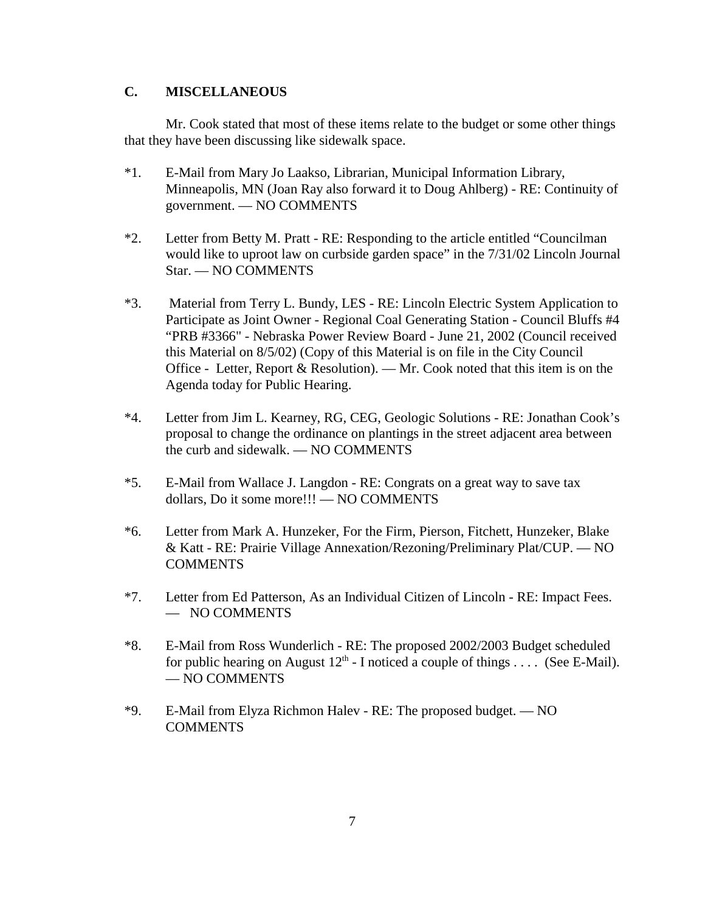## **C. MISCELLANEOUS**

Mr. Cook stated that most of these items relate to the budget or some other things that they have been discussing like sidewalk space.

- \*1. E-Mail from Mary Jo Laakso, Librarian, Municipal Information Library, Minneapolis, MN (Joan Ray also forward it to Doug Ahlberg) - RE: Continuity of government. — NO COMMENTS
- \*2. Letter from Betty M. Pratt RE: Responding to the article entitled "Councilman would like to uproot law on curbside garden space" in the 7/31/02 Lincoln Journal Star. — NO COMMENTS
- \*3. Material from Terry L. Bundy, LES RE: Lincoln Electric System Application to Participate as Joint Owner - Regional Coal Generating Station - Council Bluffs #4 "PRB #3366" - Nebraska Power Review Board - June 21, 2002 (Council received this Material on 8/5/02) (Copy of this Material is on file in the City Council Office - Letter, Report & Resolution). — Mr. Cook noted that this item is on the Agenda today for Public Hearing.
- \*4. Letter from Jim L. Kearney, RG, CEG, Geologic Solutions RE: Jonathan Cook's proposal to change the ordinance on plantings in the street adjacent area between the curb and sidewalk. — NO COMMENTS
- \*5. E-Mail from Wallace J. Langdon RE: Congrats on a great way to save tax dollars, Do it some more!!! — NO COMMENTS
- \*6. Letter from Mark A. Hunzeker, For the Firm, Pierson, Fitchett, Hunzeker, Blake & Katt - RE: Prairie Village Annexation/Rezoning/Preliminary Plat/CUP. — NO **COMMENTS**
- \*7. Letter from Ed Patterson, As an Individual Citizen of Lincoln RE: Impact Fees. — NO COMMENTS
- \*8. E-Mail from Ross Wunderlich RE: The proposed 2002/2003 Budget scheduled for public hearing on August  $12^{th}$  - I noticed a couple of things . . . . (See E-Mail). — NO COMMENTS
- \*9. E-Mail from Elyza Richmon Halev RE: The proposed budget. NO **COMMENTS**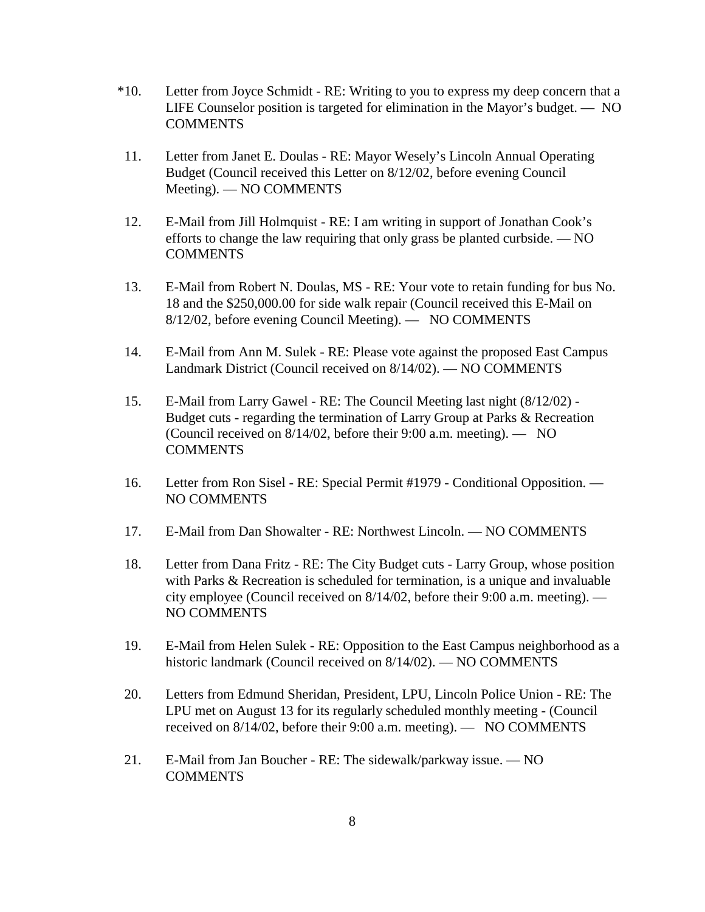- \*10. Letter from Joyce Schmidt RE: Writing to you to express my deep concern that a LIFE Counselor position is targeted for elimination in the Mayor's budget. — NO **COMMENTS**
- 11. Letter from Janet E. Doulas RE: Mayor Wesely's Lincoln Annual Operating Budget (Council received this Letter on 8/12/02, before evening Council Meeting). — NO COMMENTS
- 12. E-Mail from Jill Holmquist RE: I am writing in support of Jonathan Cook's efforts to change the law requiring that only grass be planted curbside. — NO **COMMENTS**
- 13. E-Mail from Robert N. Doulas, MS RE: Your vote to retain funding for bus No. 18 and the \$250,000.00 for side walk repair (Council received this E-Mail on 8/12/02, before evening Council Meeting). — NO COMMENTS
- 14. E-Mail from Ann M. Sulek RE: Please vote against the proposed East Campus Landmark District (Council received on 8/14/02). — NO COMMENTS
- 15. E-Mail from Larry Gawel RE: The Council Meeting last night (8/12/02) Budget cuts - regarding the termination of Larry Group at Parks & Recreation (Council received on 8/14/02, before their 9:00 a.m. meeting). — NO **COMMENTS**
- 16. Letter from Ron Sisel RE: Special Permit #1979 Conditional Opposition. NO COMMENTS
- 17. E-Mail from Dan Showalter RE: Northwest Lincoln. NO COMMENTS
- 18. Letter from Dana Fritz RE: The City Budget cuts Larry Group, whose position with Parks & Recreation is scheduled for termination, is a unique and invaluable city employee (Council received on 8/14/02, before their 9:00 a.m. meeting). — NO COMMENTS
- 19. E-Mail from Helen Sulek RE: Opposition to the East Campus neighborhood as a historic landmark (Council received on 8/14/02). — NO COMMENTS
- 20. Letters from Edmund Sheridan, President, LPU, Lincoln Police Union RE: The LPU met on August 13 for its regularly scheduled monthly meeting - (Council received on 8/14/02, before their 9:00 a.m. meeting). — NO COMMENTS
- 21. E-Mail from Jan Boucher RE: The sidewalk/parkway issue. NO COMMENTS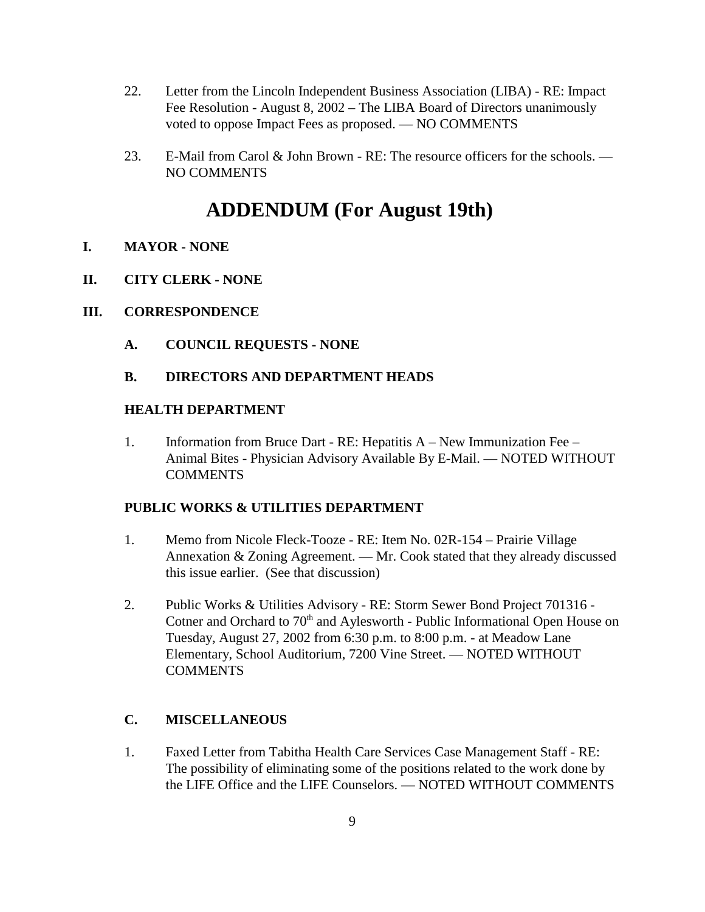- 22. Letter from the Lincoln Independent Business Association (LIBA) RE: Impact Fee Resolution - August 8, 2002 – The LIBA Board of Directors unanimously voted to oppose Impact Fees as proposed. — NO COMMENTS
- 23. E-Mail from Carol & John Brown RE: The resource officers for the schools. NO COMMENTS

# **ADDENDUM (For August 19th)**

- **I. MAYOR NONE**
- **II. CITY CLERK NONE**
- **III. CORRESPONDENCE**
	- **A. COUNCIL REQUESTS NONE**

## **B. DIRECTORS AND DEPARTMENT HEADS**

#### **HEALTH DEPARTMENT**

1. Information from Bruce Dart - RE: Hepatitis A – New Immunization Fee – Animal Bites - Physician Advisory Available By E-Mail. — NOTED WITHOUT **COMMENTS** 

#### **PUBLIC WORKS & UTILITIES DEPARTMENT**

- 1. Memo from Nicole Fleck-Tooze RE: Item No. 02R-154 Prairie Village Annexation & Zoning Agreement. — Mr. Cook stated that they already discussed this issue earlier. (See that discussion)
- 2. Public Works & Utilities Advisory RE: Storm Sewer Bond Project 701316 Cotner and Orchard to 70<sup>th</sup> and Aylesworth - Public Informational Open House on Tuesday, August 27, 2002 from 6:30 p.m. to 8:00 p.m. - at Meadow Lane Elementary, School Auditorium, 7200 Vine Street. — NOTED WITHOUT **COMMENTS**

## **C. MISCELLANEOUS**

1. Faxed Letter from Tabitha Health Care Services Case Management Staff - RE: The possibility of eliminating some of the positions related to the work done by the LIFE Office and the LIFE Counselors. — NOTED WITHOUT COMMENTS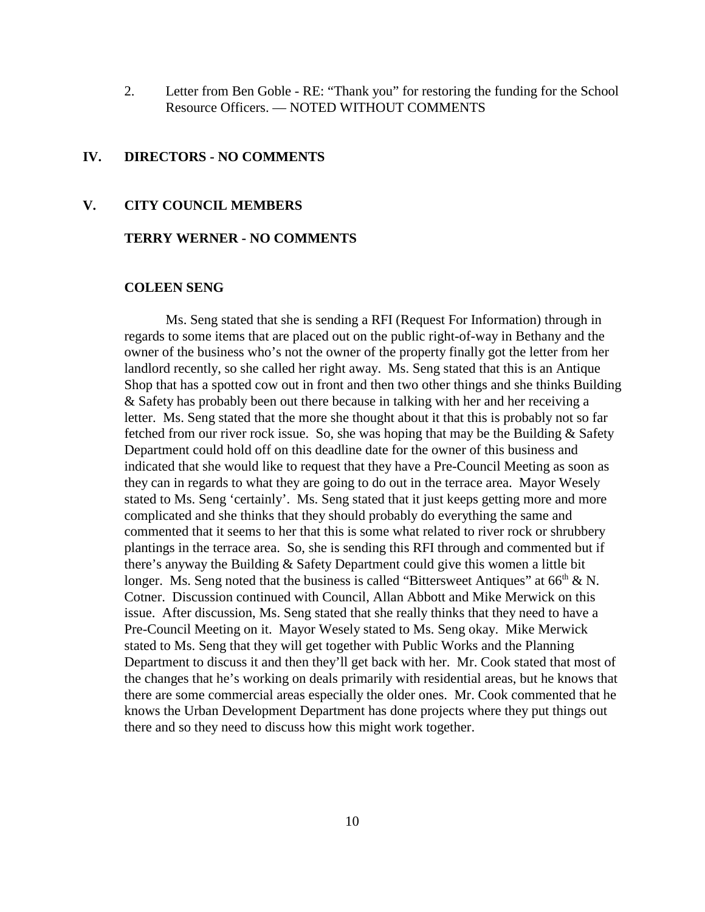2. Letter from Ben Goble - RE: "Thank you" for restoring the funding for the School Resource Officers. — NOTED WITHOUT COMMENTS

#### **IV. DIRECTORS - NO COMMENTS**

#### **V. CITY COUNCIL MEMBERS**

#### **TERRY WERNER - NO COMMENTS**

#### **COLEEN SENG**

Ms. Seng stated that she is sending a RFI (Request For Information) through in regards to some items that are placed out on the public right-of-way in Bethany and the owner of the business who's not the owner of the property finally got the letter from her landlord recently, so she called her right away. Ms. Seng stated that this is an Antique Shop that has a spotted cow out in front and then two other things and she thinks Building & Safety has probably been out there because in talking with her and her receiving a letter. Ms. Seng stated that the more she thought about it that this is probably not so far fetched from our river rock issue. So, she was hoping that may be the Building & Safety Department could hold off on this deadline date for the owner of this business and indicated that she would like to request that they have a Pre-Council Meeting as soon as they can in regards to what they are going to do out in the terrace area. Mayor Wesely stated to Ms. Seng 'certainly'. Ms. Seng stated that it just keeps getting more and more complicated and she thinks that they should probably do everything the same and commented that it seems to her that this is some what related to river rock or shrubbery plantings in the terrace area. So, she is sending this RFI through and commented but if there's anyway the Building & Safety Department could give this women a little bit longer. Ms. Seng noted that the business is called "Bittersweet Antiques" at  $66<sup>th</sup>$  & N. Cotner. Discussion continued with Council, Allan Abbott and Mike Merwick on this issue. After discussion, Ms. Seng stated that she really thinks that they need to have a Pre-Council Meeting on it. Mayor Wesely stated to Ms. Seng okay. Mike Merwick stated to Ms. Seng that they will get together with Public Works and the Planning Department to discuss it and then they'll get back with her. Mr. Cook stated that most of the changes that he's working on deals primarily with residential areas, but he knows that there are some commercial areas especially the older ones. Mr. Cook commented that he knows the Urban Development Department has done projects where they put things out there and so they need to discuss how this might work together.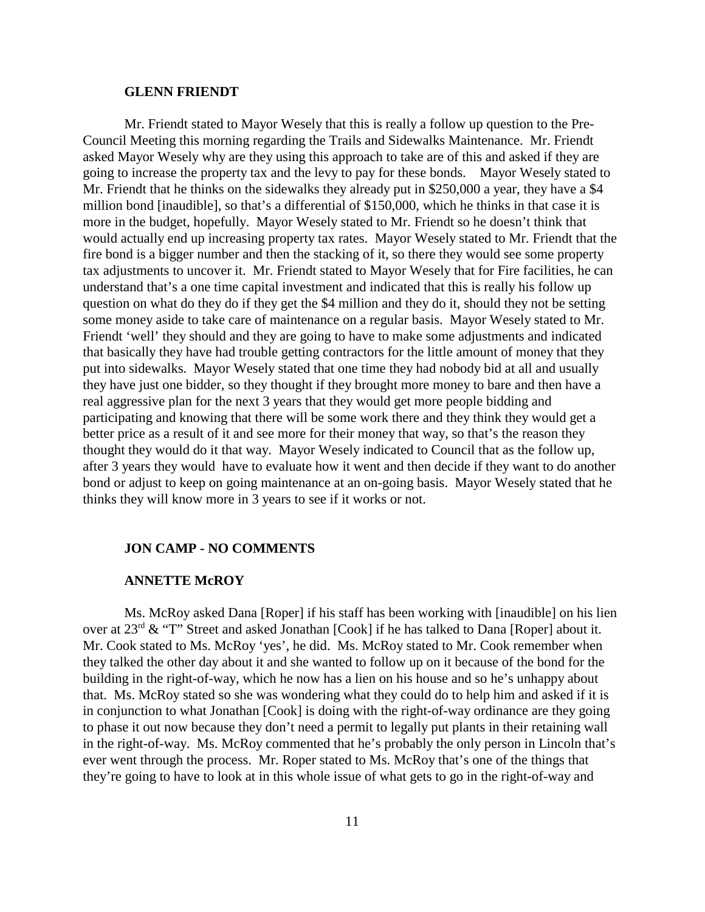#### **GLENN FRIENDT**

Mr. Friendt stated to Mayor Wesely that this is really a follow up question to the Pre-Council Meeting this morning regarding the Trails and Sidewalks Maintenance. Mr. Friendt asked Mayor Wesely why are they using this approach to take are of this and asked if they are going to increase the property tax and the levy to pay for these bonds. Mayor Wesely stated to Mr. Friendt that he thinks on the sidewalks they already put in \$250,000 a year, they have a \$4 million bond [inaudible], so that's a differential of \$150,000, which he thinks in that case it is more in the budget, hopefully. Mayor Wesely stated to Mr. Friendt so he doesn't think that would actually end up increasing property tax rates. Mayor Wesely stated to Mr. Friendt that the fire bond is a bigger number and then the stacking of it, so there they would see some property tax adjustments to uncover it. Mr. Friendt stated to Mayor Wesely that for Fire facilities, he can understand that's a one time capital investment and indicated that this is really his follow up question on what do they do if they get the \$4 million and they do it, should they not be setting some money aside to take care of maintenance on a regular basis. Mayor Wesely stated to Mr. Friendt 'well' they should and they are going to have to make some adjustments and indicated that basically they have had trouble getting contractors for the little amount of money that they put into sidewalks. Mayor Wesely stated that one time they had nobody bid at all and usually they have just one bidder, so they thought if they brought more money to bare and then have a real aggressive plan for the next 3 years that they would get more people bidding and participating and knowing that there will be some work there and they think they would get a better price as a result of it and see more for their money that way, so that's the reason they thought they would do it that way. Mayor Wesely indicated to Council that as the follow up, after 3 years they would have to evaluate how it went and then decide if they want to do another bond or adjust to keep on going maintenance at an on-going basis. Mayor Wesely stated that he thinks they will know more in 3 years to see if it works or not.

#### **JON CAMP - NO COMMENTS**

#### **ANNETTE McROY**

Ms. McRoy asked Dana [Roper] if his staff has been working with [inaudible] on his lien over at  $23<sup>rd</sup>$  & "T" Street and asked Jonathan [Cook] if he has talked to Dana [Roper] about it. Mr. Cook stated to Ms. McRoy 'yes', he did. Ms. McRoy stated to Mr. Cook remember when they talked the other day about it and she wanted to follow up on it because of the bond for the building in the right-of-way, which he now has a lien on his house and so he's unhappy about that. Ms. McRoy stated so she was wondering what they could do to help him and asked if it is in conjunction to what Jonathan [Cook] is doing with the right-of-way ordinance are they going to phase it out now because they don't need a permit to legally put plants in their retaining wall in the right-of-way. Ms. McRoy commented that he's probably the only person in Lincoln that's ever went through the process. Mr. Roper stated to Ms. McRoy that's one of the things that they're going to have to look at in this whole issue of what gets to go in the right-of-way and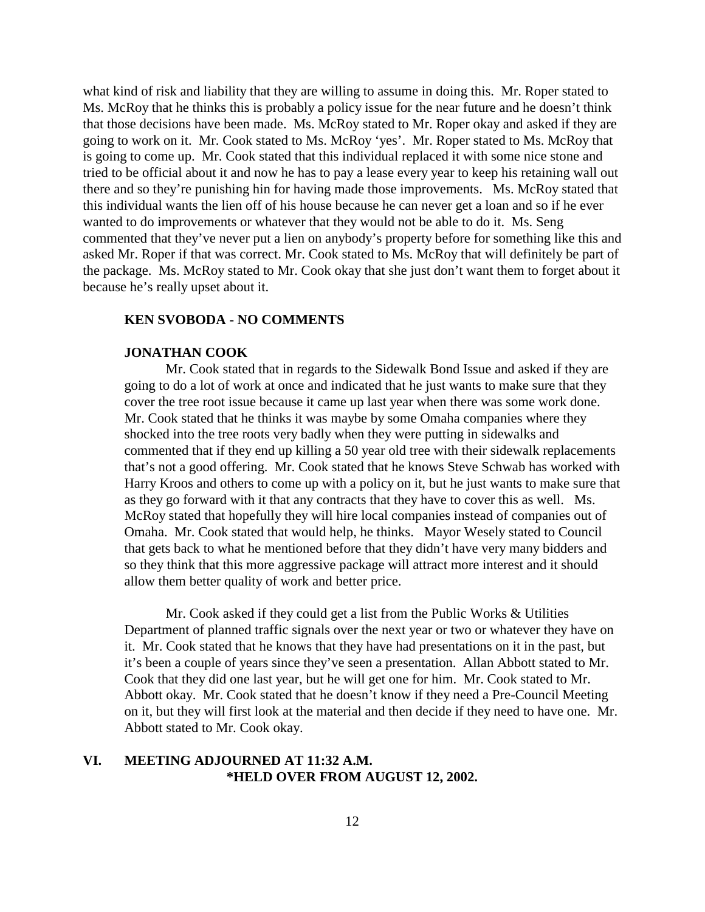what kind of risk and liability that they are willing to assume in doing this. Mr. Roper stated to Ms. McRoy that he thinks this is probably a policy issue for the near future and he doesn't think that those decisions have been made. Ms. McRoy stated to Mr. Roper okay and asked if they are going to work on it. Mr. Cook stated to Ms. McRoy 'yes'. Mr. Roper stated to Ms. McRoy that is going to come up. Mr. Cook stated that this individual replaced it with some nice stone and tried to be official about it and now he has to pay a lease every year to keep his retaining wall out there and so they're punishing hin for having made those improvements. Ms. McRoy stated that this individual wants the lien off of his house because he can never get a loan and so if he ever wanted to do improvements or whatever that they would not be able to do it. Ms. Seng commented that they've never put a lien on anybody's property before for something like this and asked Mr. Roper if that was correct. Mr. Cook stated to Ms. McRoy that will definitely be part of the package. Ms. McRoy stated to Mr. Cook okay that she just don't want them to forget about it because he's really upset about it.

#### **KEN SVOBODA - NO COMMENTS**

#### **JONATHAN COOK**

Mr. Cook stated that in regards to the Sidewalk Bond Issue and asked if they are going to do a lot of work at once and indicated that he just wants to make sure that they cover the tree root issue because it came up last year when there was some work done. Mr. Cook stated that he thinks it was maybe by some Omaha companies where they shocked into the tree roots very badly when they were putting in sidewalks and commented that if they end up killing a 50 year old tree with their sidewalk replacements that's not a good offering. Mr. Cook stated that he knows Steve Schwab has worked with Harry Kroos and others to come up with a policy on it, but he just wants to make sure that as they go forward with it that any contracts that they have to cover this as well. Ms. McRoy stated that hopefully they will hire local companies instead of companies out of Omaha. Mr. Cook stated that would help, he thinks. Mayor Wesely stated to Council that gets back to what he mentioned before that they didn't have very many bidders and so they think that this more aggressive package will attract more interest and it should allow them better quality of work and better price.

Mr. Cook asked if they could get a list from the Public Works & Utilities Department of planned traffic signals over the next year or two or whatever they have on it. Mr. Cook stated that he knows that they have had presentations on it in the past, but it's been a couple of years since they've seen a presentation. Allan Abbott stated to Mr. Cook that they did one last year, but he will get one for him. Mr. Cook stated to Mr. Abbott okay. Mr. Cook stated that he doesn't know if they need a Pre-Council Meeting on it, but they will first look at the material and then decide if they need to have one. Mr. Abbott stated to Mr. Cook okay.

## **VI. MEETING ADJOURNED AT 11:32 A.M. \*HELD OVER FROM AUGUST 12, 2002.**